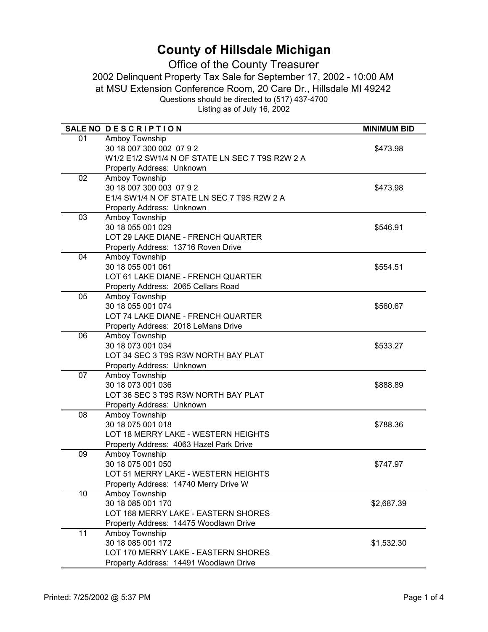|                 | SALE NO DESCRIPTION                             | <b>MINIMUM BID</b> |
|-----------------|-------------------------------------------------|--------------------|
| 01              | Amboy Township                                  |                    |
|                 | 30 18 007 300 002 07 9 2                        | \$473.98           |
|                 | W1/2 E1/2 SW1/4 N OF STATE LN SEC 7 T9S R2W 2 A |                    |
|                 | Property Address: Unknown                       |                    |
| $\overline{02}$ | <b>Amboy Township</b>                           |                    |
|                 | 30 18 007 300 003 07 9 2                        | \$473.98           |
|                 | E1/4 SW1/4 N OF STATE LN SEC 7 T9S R2W 2 A      |                    |
|                 | Property Address: Unknown                       |                    |
| 03              | Amboy Township                                  |                    |
|                 | 30 18 055 001 029                               | \$546.91           |
|                 | LOT 29 LAKE DIANE - FRENCH QUARTER              |                    |
|                 | Property Address: 13716 Roven Drive             |                    |
| 04              | Amboy Township                                  |                    |
|                 | 30 18 055 001 061                               | \$554.51           |
|                 | LOT 61 LAKE DIANE - FRENCH QUARTER              |                    |
|                 | Property Address: 2065 Cellars Road             |                    |
| 05              | Amboy Township                                  |                    |
|                 | 30 18 055 001 074                               | \$560.67           |
|                 | LOT 74 LAKE DIANE - FRENCH QUARTER              |                    |
|                 | Property Address: 2018 LeMans Drive             |                    |
| 06              | Amboy Township                                  |                    |
|                 | 30 18 073 001 034                               | \$533.27           |
|                 | LOT 34 SEC 3 T9S R3W NORTH BAY PLAT             |                    |
|                 | Property Address: Unknown                       |                    |
| 07              | Amboy Township                                  |                    |
|                 | 30 18 073 001 036                               | \$888.89           |
|                 | LOT 36 SEC 3 T9S R3W NORTH BAY PLAT             |                    |
| 08              | Property Address: Unknown<br>Amboy Township     |                    |
|                 | 30 18 075 001 018                               |                    |
|                 | LOT 18 MERRY LAKE - WESTERN HEIGHTS             | \$788.36           |
|                 | Property Address: 4063 Hazel Park Drive         |                    |
| 09              | Amboy Township                                  |                    |
|                 | 30 18 075 001 050                               | \$747.97           |
|                 | LOT 51 MERRY LAKE - WESTERN HEIGHTS             |                    |
|                 | Property Address: 14740 Merry Drive W           |                    |
| 10              | Amboy Township                                  |                    |
|                 | 30 18 085 001 170                               | \$2,687.39         |
|                 | LOT 168 MERRY LAKE - EASTERN SHORES             |                    |
|                 | Property Address: 14475 Woodlawn Drive          |                    |
| 11              | Amboy Township                                  |                    |
|                 | 30 18 085 001 172                               | \$1,532.30         |
|                 | LOT 170 MERRY LAKE - EASTERN SHORES             |                    |
|                 | Property Address: 14491 Woodlawn Drive          |                    |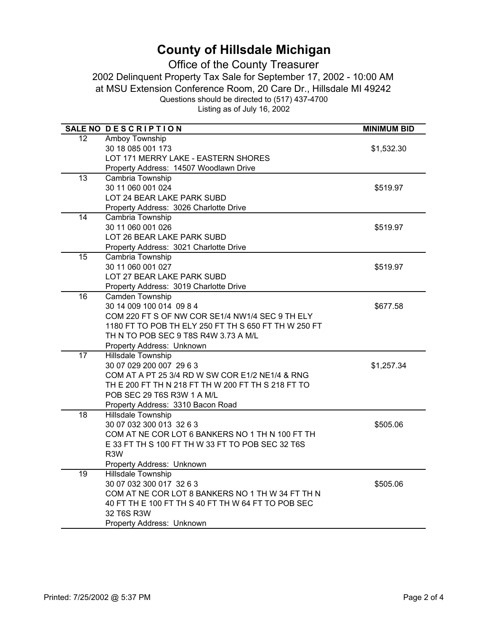|                   | SALE NO DESCRIPTION                                  | <b>MINIMUM BID</b> |
|-------------------|------------------------------------------------------|--------------------|
| $12 \overline{ }$ | Amboy Township                                       |                    |
|                   | 30 18 085 001 173                                    | \$1,532.30         |
|                   | LOT 171 MERRY LAKE - EASTERN SHORES                  |                    |
|                   | Property Address: 14507 Woodlawn Drive               |                    |
| $\overline{13}$   | Cambria Township                                     |                    |
|                   | 30 11 060 001 024                                    | \$519.97           |
|                   | LOT 24 BEAR LAKE PARK SUBD                           |                    |
|                   | Property Address: 3026 Charlotte Drive               |                    |
| $\overline{14}$   | Cambria Township                                     |                    |
|                   | 30 11 060 001 026                                    | \$519.97           |
|                   | LOT 26 BEAR LAKE PARK SUBD                           |                    |
|                   | Property Address: 3021 Charlotte Drive               |                    |
| 15                | Cambria Township                                     |                    |
|                   | 30 11 060 001 027                                    | \$519.97           |
|                   | LOT 27 BEAR LAKE PARK SUBD                           |                    |
|                   | Property Address: 3019 Charlotte Drive               |                    |
| $\overline{16}$   | Camden Township                                      |                    |
|                   | 30 14 009 100 014 09 8 4                             | \$677.58           |
|                   | COM 220 FT S OF NW COR SE1/4 NW1/4 SEC 9 TH ELY      |                    |
|                   | 1180 FT TO POB TH ELY 250 FT TH S 650 FT TH W 250 FT |                    |
|                   | TH N TO POB SEC 9 T8S R4W 3.73 A M/L                 |                    |
|                   | Property Address: Unknown                            |                    |
| $\overline{17}$   | <b>Hillsdale Township</b>                            |                    |
|                   | 30 07 029 200 007 29 6 3                             | \$1,257.34         |
|                   | COM AT A PT 25 3/4 RD W SW COR E1/2 NE1/4 & RNG      |                    |
|                   | TH E 200 FT TH N 218 FT TH W 200 FT TH S 218 FT TO   |                    |
|                   | POB SEC 29 T6S R3W 1 A M/L                           |                    |
|                   | Property Address: 3310 Bacon Road                    |                    |
| 18                | Hillsdale Township                                   |                    |
|                   | 30 07 032 300 013 32 6 3                             | \$505.06           |
|                   | COM AT NE COR LOT 6 BANKERS NO 1 TH N 100 FT TH      |                    |
|                   | E 33 FT TH S 100 FT TH W 33 FT TO POB SEC 32 T6S     |                    |
|                   | R <sub>3</sub> W                                     |                    |
|                   | Property Address: Unknown                            |                    |
| 19                | Hillsdale Township                                   |                    |
|                   | 30 07 032 300 017 32 6 3                             | \$505.06           |
|                   | COM AT NE COR LOT 8 BANKERS NO 1 TH W 34 FT TH N     |                    |
|                   | 40 FT TH E 100 FT TH S 40 FT TH W 64 FT TO POB SEC   |                    |
|                   | 32 T6S R3W                                           |                    |
|                   | Property Address: Unknown                            |                    |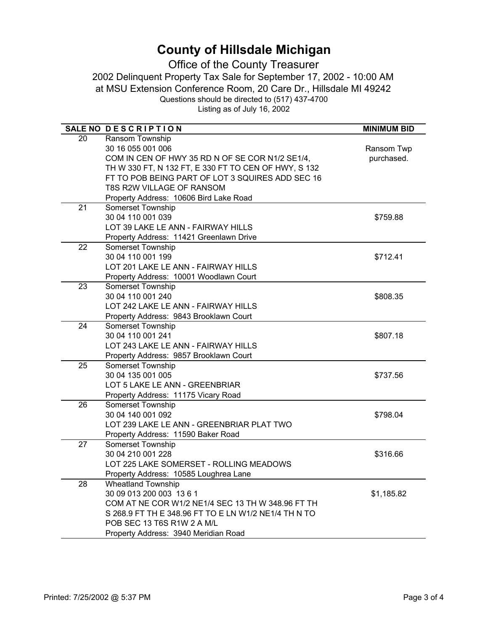|                 | SALE NO DESCRIPTION                                  | <b>MINIMUM BID</b> |
|-----------------|------------------------------------------------------|--------------------|
| 20              | Ransom Township                                      |                    |
|                 | 30 16 055 001 006                                    | Ransom Twp         |
|                 | COM IN CEN OF HWY 35 RD N OF SE COR N1/2 SE1/4,      | purchased.         |
|                 | TH W 330 FT, N 132 FT, E 330 FT TO CEN OF HWY, S 132 |                    |
|                 | FT TO POB BEING PART OF LOT 3 SQUIRES ADD SEC 16     |                    |
|                 | T8S R2W VILLAGE OF RANSOM                            |                    |
|                 | Property Address: 10606 Bird Lake Road               |                    |
| 21              | <b>Somerset Township</b>                             |                    |
|                 | 30 04 110 001 039                                    | \$759.88           |
|                 | LOT 39 LAKE LE ANN - FAIRWAY HILLS                   |                    |
|                 | Property Address: 11421 Greenlawn Drive              |                    |
| 22              | Somerset Township                                    |                    |
|                 | 30 04 110 001 199                                    | \$712.41           |
|                 | LOT 201 LAKE LE ANN - FAIRWAY HILLS                  |                    |
|                 | Property Address: 10001 Woodlawn Court               |                    |
| 23              | Somerset Township                                    |                    |
|                 | 30 04 110 001 240                                    | \$808.35           |
|                 | LOT 242 LAKE LE ANN - FAIRWAY HILLS                  |                    |
|                 | Property Address: 9843 Brooklawn Court               |                    |
| 24              | Somerset Township                                    |                    |
|                 | 30 04 110 001 241                                    | \$807.18           |
|                 | LOT 243 LAKE LE ANN - FAIRWAY HILLS                  |                    |
|                 | Property Address: 9857 Brooklawn Court               |                    |
| 25              | Somerset Township                                    |                    |
|                 | 30 04 135 001 005                                    | \$737.56           |
|                 | LOT 5 LAKE LE ANN - GREENBRIAR                       |                    |
|                 | Property Address: 11175 Vicary Road                  |                    |
| 26              | Somerset Township                                    |                    |
|                 | 30 04 140 001 092                                    | \$798.04           |
|                 | LOT 239 LAKE LE ANN - GREENBRIAR PLAT TWO            |                    |
|                 | Property Address: 11590 Baker Road                   |                    |
| $\overline{27}$ | <b>Somerset Township</b>                             |                    |
|                 | 30 04 210 001 228                                    | \$316.66           |
|                 | LOT 225 LAKE SOMERSET - ROLLING MEADOWS              |                    |
|                 | Property Address: 10585 Loughrea Lane                |                    |
| 28              | Wheatland Township                                   |                    |
|                 | 30 09 013 200 003 13 6 1                             | \$1,185.82         |
|                 | COM AT NE COR W1/2 NE1/4 SEC 13 TH W 348.96 FT TH    |                    |
|                 | S 268.9 FT TH E 348.96 FT TO E LN W1/2 NE1/4 TH N TO |                    |
|                 | POB SEC 13 T6S R1W 2 A M/L                           |                    |
|                 | Property Address: 3940 Meridian Road                 |                    |